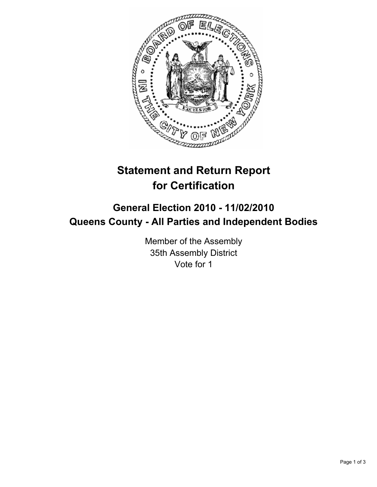

## **Statement and Return Report for Certification**

## **General Election 2010 - 11/02/2010 Queens County - All Parties and Independent Bodies**

Member of the Assembly 35th Assembly District Vote for 1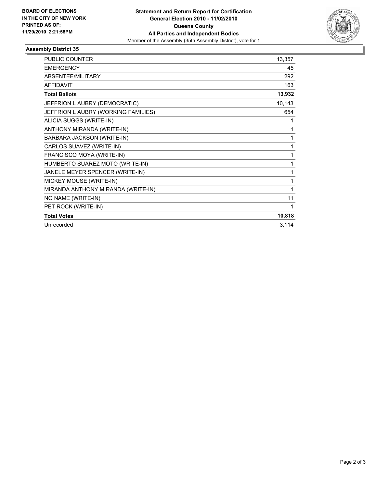

## **Assembly District 35**

| <b>PUBLIC COUNTER</b>               | 13,357 |
|-------------------------------------|--------|
| <b>EMERGENCY</b>                    | 45     |
| ABSENTEE/MILITARY                   | 292    |
| <b>AFFIDAVIT</b>                    | 163    |
| <b>Total Ballots</b>                | 13,932 |
| JEFFRION L AUBRY (DEMOCRATIC)       | 10,143 |
| JEFFRION L AUBRY (WORKING FAMILIES) | 654    |
| ALICIA SUGGS (WRITE-IN)             | 1      |
| ANTHONY MIRANDA (WRITE-IN)          | 1      |
| BARBARA JACKSON (WRITE-IN)          | 1      |
| CARLOS SUAVEZ (WRITE-IN)            | 1      |
| FRANCISCO MOYA (WRITE-IN)           | 1      |
| HUMBERTO SUAREZ MOTO (WRITE-IN)     | 1      |
| JANELE MEYER SPENCER (WRITE-IN)     | 1      |
| MICKEY MOUSE (WRITE-IN)             | 1      |
| MIRANDA ANTHONY MIRANDA (WRITE-IN)  | 1      |
| NO NAME (WRITE-IN)                  | 11     |
| PET ROCK (WRITE-IN)                 | 1      |
| <b>Total Votes</b>                  | 10,818 |
| Unrecorded                          | 3,114  |